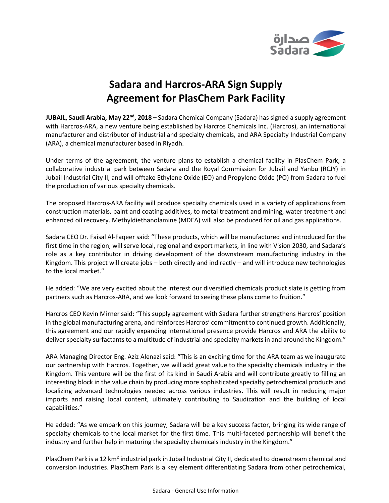

# **Sadara and Harcros-ARA Sign Supply Agreement for PlasChem Park Facility**

**JUBAIL, Saudi Arabia, May 22nd , 2018 –** Sadara Chemical Company (Sadara) has signed a supply agreement with Harcros-ARA, a new venture being established by Harcros Chemicals Inc. (Harcros), an international manufacturer and distributor of industrial and specialty chemicals, and ARA Specialty Industrial Company (ARA), a chemical manufacturer based in Riyadh.

Under terms of the agreement, the venture plans to establish a chemical facility in PlasChem Park, a collaborative industrial park between Sadara and the Royal Commission for Jubail and Yanbu (RCJY) in Jubail Industrial City II, and will offtake Ethylene Oxide (EO) and Propylene Oxide (PO) from Sadara to fuel the production of various specialty chemicals.

The proposed Harcros-ARA facility will produce specialty chemicals used in a variety of applications from construction materials, paint and coating additives, to metal treatment and mining, water treatment and enhanced oil recovery. Methyldiethanolamine (MDEA) will also be produced for oil and gas applications.

Sadara CEO Dr. Faisal Al-Faqeer said: "These products, which will be manufactured and introduced for the first time in the region, will serve local, regional and export markets, in line with Vision 2030, and Sadara's role as a key contributor in driving development of the downstream manufacturing industry in the Kingdom. This project will create jobs  $-$  both directly and indirectly  $-$  and will introduce new technologies to the local market."

He added: "We are very excited about the interest our diversified chemicals product slate is getting from partners such as Harcros-ARA, and we look forward to seeing these plans come to fruition."

Harcros CEO Kevin Mirner said: "This supply agreement with Sadara further strengthens Harcros' position in the global manufacturing arena, and reinforces Harcros' commitment to continued growth. Additionally, this agreement and our rapidly expanding international presence provide Harcros and ARA the ability to deliver specialty surfactants to a multitude of industrial and specialty markets in and around the Kingdom."

ARA Managing Director Eng. Aziz Alenazi said: "This is an exciting time for the ARA team as we inaugurate our partnership with Harcros. Together, we will add great value to the specialty chemicals industry in the Kingdom. This venture will be the first of its kind in Saudi Arabia and will contribute greatly to filling an interesting block in the value chain by producing more sophisticated specialty petrochemical products and localizing advanced technologies needed across various industries. This will result in reducing major imports and raising local content, ultimately contributing to Saudization and the building of local capabilities."

He added: "As we embark on this journey, Sadara will be a key success factor, bringing its wide range of specialty chemicals to the local market for the first time. This multi-faceted partnership will benefit the industry and further help in maturing the specialty chemicals industry in the Kingdom."

PlasChem Park is a 12 km² industrial park in Jubail Industrial City II, dedicated to downstream chemical and conversion industries. PlasChem Park is a key element differentiating Sadara from other petrochemical,